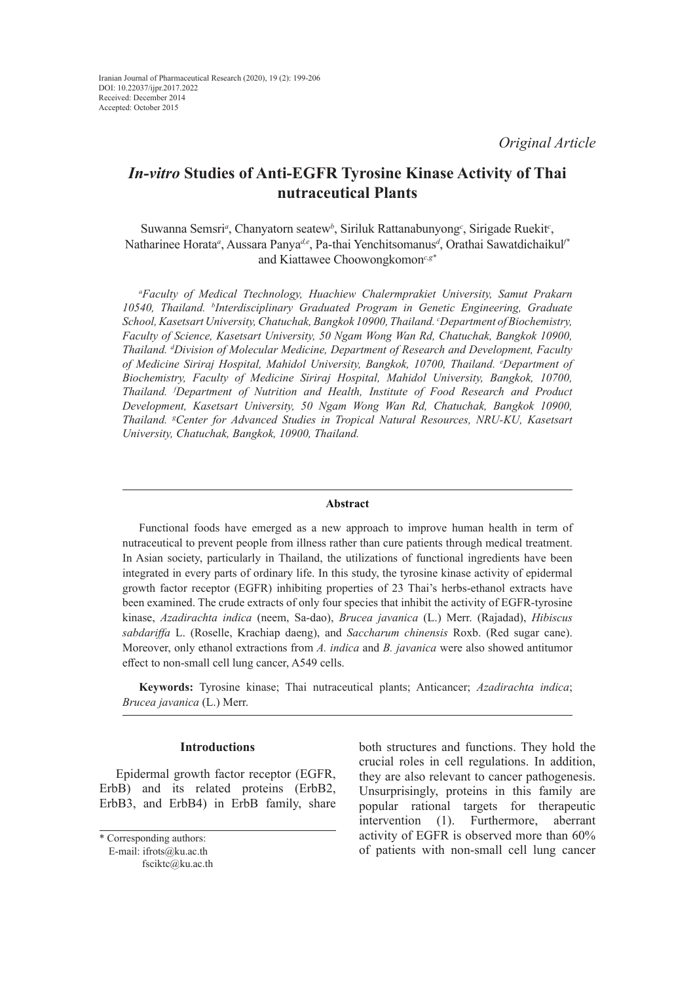# *In-vitro* **Studies of Anti-EGFR Tyrosine Kinase Activity of Thai nutraceutical Plants**

Suwanna Semsri<sup>a</sup>, Chanyatorn seatew<sup>b</sup>, Siriluk Rattanabunyong<sup>c</sup>, Sirigade Ruekit<sup>c</sup>, Natharinee Horata<sup>a</sup>, Aussara Panya<sup>de</sup>, Pa-thai Yenchitsomanus<sup>d</sup>, Orathai Sawatdichaikul<sup>*r*</sup> and Kiattawee Choowongkomon*c,g\**

*a Faculty of Medical Ttechnology, Huachiew Chalermprakiet University, Samut Prakarn 10540, Thailand. b Interdisciplinary Graduated Program in Genetic Engineering, Graduate School, Kasetsart University, Chatuchak, Bangkok 10900, Thailand. c Department of Biochemistry, Faculty of Science, Kasetsart University, 50 Ngam Wong Wan Rd, Chatuchak, Bangkok 10900, Thailand. d Division of Molecular Medicine, Department of Research and Development, Faculty of Medicine Siriraj Hospital, Mahidol University, Bangkok, 10700, Thailand. e Department of Biochemistry, Faculty of Medicine Siriraj Hospital, Mahidol University, Bangkok, 10700, Thailand. f Department of Nutrition and Health, Institute of Food Research and Product Development, Kasetsart University, 50 Ngam Wong Wan Rd, Chatuchak, Bangkok 10900, Thailand. g Center for Advanced Studies in Tropical Natural Resources, NRU-KU, Kasetsart University, Chatuchak, Bangkok, 10900, Thailand.*

#### **Abstract**

Functional foods have emerged as a new approach to improve human health in term of nutraceutical to prevent people from illness rather than cure patients through medical treatment. In Asian society, particularly in Thailand, the utilizations of functional ingredients have been integrated in every parts of ordinary life. In this study, the tyrosine kinase activity of epidermal growth factor receptor (EGFR) inhibiting properties of 23 Thai's herbs-ethanol extracts have been examined. The crude extracts of only four species that inhibit the activity of EGFR-tyrosine kinase, *Azadirachta indica* (neem, Sa-dao), *Brucea javanica* (L.) Merr. (Rajadad), *Hibiscus sabdariffa* L. (Roselle, Krachiap daeng), and *Saccharum chinensis* Roxb. (Red sugar cane). Moreover, only ethanol extractions from *A. indica* and *B. javanica* were also showed antitumor effect to non-small cell lung cancer, A549 cells.

**Keywords:** Tyrosine kinase; Thai nutraceutical plants; Anticancer; *Azadirachta indica*; *Brucea javanica* (L.) Merr.

#### **Introductions**

Epidermal growth factor receptor (EGFR, ErbB) and its related proteins (ErbB2, ErbB3, and ErbB4) in ErbB family, share

\* Corresponding authors: E-mail: [ifrots@ku.ac.th](mailto:ifrots@ku.ac.th) [fsciktc@ku.ac.th](mailto:fsciktc@ku.ac.th) both structures and functions. They hold the crucial roles in cell regulations. In addition, they are also relevant to cancer pathogenesis. Unsurprisingly, proteins in this family are popular rational targets for therapeutic intervention (1). Furthermore, aberrant activity of EGFR is observed more than 60% of patients with non-small cell lung cancer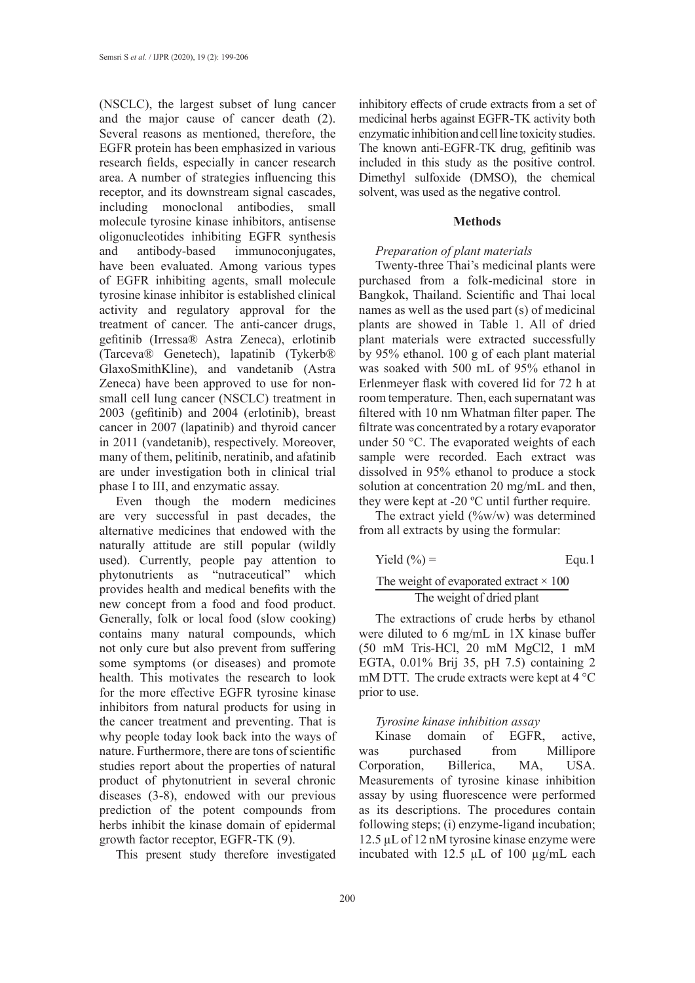(NSCLC), the largest subset of lung cancer and the major cause of cancer death (2). Several reasons as mentioned, therefore, the EGFR protein has been emphasized in various research fields, especially in cancer research area. A number of strategies influencing this receptor, and its downstream signal cascades, including monoclonal antibodies, small molecule tyrosine kinase inhibitors, antisense oligonucleotides inhibiting EGFR synthesis and antibody-based immunoconjugates, have been evaluated. Among various types of EGFR inhibiting agents, small molecule tyrosine kinase inhibitor is established clinical activity and regulatory approval for the treatment of cancer. The anti-cancer drugs, gefitinib (Irressa® Astra Zeneca), erlotinib (Tarceva® Genetech), lapatinib (Tykerb® GlaxoSmithKline), and vandetanib (Astra Zeneca) have been approved to use for nonsmall cell lung cancer (NSCLC) treatment in 2003 (gefitinib) and 2004 (erlotinib), breast cancer in 2007 (lapatinib) and thyroid cancer in 2011 (vandetanib), respectively. Moreover, many of them, pelitinib, neratinib, and afatinib are under investigation both in clinical trial phase I to III, and enzymatic assay.

Even though the modern medicines are very successful in past decades, the alternative medicines that endowed with the naturally attitude are still popular (wildly used). Currently, people pay attention to phytonutrients as "nutraceutical" which provides health and medical benefits with the new concept from a food and food product. Generally, folk or local food (slow cooking) contains many natural compounds, which not only cure but also prevent from suffering some symptoms (or diseases) and promote health. This motivates the research to look for the more effective EGFR tyrosine kinase inhibitors from natural products for using in the cancer treatment and preventing. That is why people today look back into the ways of nature. Furthermore, there are tons of scientific studies report about the properties of natural product of phytonutrient in several chronic diseases (3-8), endowed with our previous prediction of the potent compounds from herbs inhibit the kinase domain of epidermal growth factor receptor, EGFR-TK (9).

This present study therefore investigated

inhibitory effects of crude extracts from a set of medicinal herbs against EGFR-TK activity both enzymatic inhibition and cell line toxicity studies. The known anti-EGFR-TK drug, gefitinib was included in this study as the positive control. Dimethyl sulfoxide (DMSO), the chemical solvent, was used as the negative control.

## **Methods**

#### *Preparation of plant materials*

Twenty-three Thai's medicinal plants were purchased from a folk-medicinal store in Bangkok, Thailand. Scientific and Thai local names as well as the used part (s) of medicinal plants are showed in Table 1. All of dried plant materials were extracted successfully by 95% ethanol. 100 g of each plant material was soaked with 500 mL of 95% ethanol in Erlenmeyer flask with covered lid for 72 h at room temperature. Then, each supernatant was filtered with 10 nm Whatman filter paper. The filtrate was concentrated by a rotary evaporator under 50 °C. The evaporated weights of each sample were recorded. Each extract was dissolved in 95% ethanol to produce a stock solution at concentration 20 mg/mL and then, they were kept at -20 ºC until further require.

The extract yield (%w/w) was determined from all extracts by using the formular:

Yield (%) = 
$$
Equ.1
$$
The weight of evaporated extract × 100  
The weight of dried plant

The extractions of crude herbs by ethanol were diluted to 6 mg/mL in 1X kinase buffer (50 mM Tris-HCl, 20 mM MgCl2, 1 mM EGTA, 0.01% Brij 35, pH 7.5) containing 2 mM DTT. The crude extracts were kept at 4 °C prior to use.

#### *Tyrosine kinase inhibition assay*

Kinase domain of EGFR, active, was purchased from Millipore Corporation, Billerica, MA, USA. Measurements of tyrosine kinase inhibition assay by using fluorescence were performed as its descriptions. The procedures contain following steps; (i) enzyme-ligand incubation; 12.5 µL of 12 nM tyrosine kinase enzyme were incubated with 12.5 µL of 100 µg/mL each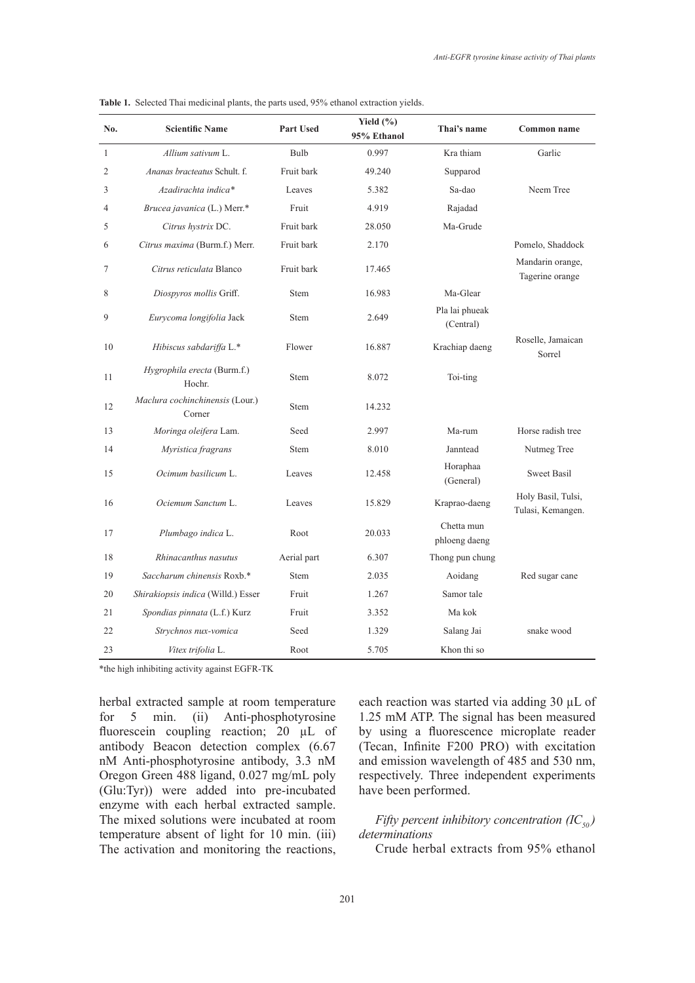| No.            | <b>Scientific Name</b>                    | <b>Part Used</b> | Yield $(\% )$<br>95% Ethanol | Thai's name                 | Common name                             |
|----------------|-------------------------------------------|------------------|------------------------------|-----------------------------|-----------------------------------------|
| 1              | Allium sativum L.                         | <b>Bulb</b>      | 0.997                        | Kra thiam                   | Garlic                                  |
| $\mathfrak{2}$ | Ananas bracteatus Schult. f.              | Fruit bark       | 49.240                       | Supparod                    |                                         |
| 3              | Azadirachta indica*                       | Leaves           | 5.382                        | $Sa$ -dao                   | Neem Tree                               |
| 4              | Brucea javanica (L.) Merr.*               | Fruit            | 4.919                        | Rajadad                     |                                         |
| 5              | Citrus hystrix DC.                        | Fruit bark       | 28.050                       | Ma-Grude                    |                                         |
| 6              | Citrus maxima (Burm.f.) Merr.             | Fruit bark       | 2.170                        |                             | Pomelo, Shaddock                        |
| 7              | Citrus reticulata Blanco                  | Fruit bark       | 17.465                       |                             | Mandarin orange,<br>Tagerine orange     |
| 8              | Diospyros mollis Griff.                   | Stem             | 16.983                       | Ma-Glear                    |                                         |
| 9              | Eurycoma longifolia Jack                  | Stem             | 2.649                        | Pla lai phueak<br>(Central) |                                         |
| 10             | Hibiscus sabdariffa L.*                   | Flower           | 16.887                       | Krachiap daeng              | Roselle, Jamaican<br>Sorrel             |
| 11             | Hygrophila erecta (Burm.f.)<br>Hochr.     | Stem             | 8.072                        | Toi-ting                    |                                         |
| 12             | Maclura cochinchinensis (Lour.)<br>Corner | Stem             | 14.232                       |                             |                                         |
| 13             | Moringa oleifera Lam.                     | Seed             | 2.997                        | Ma-rum                      | Horse radish tree                       |
| 14             | Myristica fragrans                        | Stem             | 8.010                        | Janntead                    | Nutmeg Tree                             |
| 15             | Ocimum basilicum L.                       | Leaves           | 12.458                       | Horaphaa<br>(General)       | <b>Sweet Basil</b>                      |
| 16             | Ociemum Sanctum L.                        | Leaves           | 15.829                       | Kraprao-daeng               | Holy Basil, Tulsi,<br>Tulasi, Kemangen. |
| 17             | Plumbago indica L.                        | Root             | 20.033                       | Chetta mun<br>phloeng daeng |                                         |
| 18             | Rhinacanthus nasutus                      | Aerial part      | 6.307                        | Thong pun chung             |                                         |
| 19             | Saccharum chinensis Roxb.*                | <b>Stem</b>      | 2.035                        | Aoidang                     | Red sugar cane                          |
| 20             | Shirakiopsis indica (Willd.) Esser        | Fruit            | 1.267                        | Samor tale                  |                                         |
| 21             | Spondias pinnata (L.f.) Kurz              | Fruit            | 3.352                        | Ma kok                      |                                         |
| 22             | Strychnos nux-vomica                      | Seed             | 1.329                        | Salang Jai                  | snake wood                              |
| 23             | Vitex trifolia L.                         | Root             | 5.705                        | Khon thi so                 |                                         |

**Table 1.** Selected Thai medicinal plants, the parts used, 95% ethanol extraction yields.

\*the high inhibiting activity against EGFR-TK

herbal extracted sample at room temperature for 5 min. (ii) Anti-phosphotyrosine fluorescein coupling reaction; 20 µL of antibody Beacon detection complex (6.67 nM Anti-phosphotyrosine antibody, 3.3 nM Oregon Green 488 ligand, 0.027 mg/mL poly (Glu:Tyr)) were added into pre-incubated enzyme with each herbal extracted sample. The mixed solutions were incubated at room temperature absent of light for 10 min. (iii) The activation and monitoring the reactions,

each reaction was started via adding 30 µL of 1.25 mM ATP. The signal has been measured by using a fluorescence microplate reader (Tecan, Infinite F200 PRO) with excitation and emission wavelength of 485 and 530 nm, respectively. Three independent experiments have been performed.

*Fifty percent inhibitory concentration*  $(IC_{50})$ *determinations*

Crude herbal extracts from 95% ethanol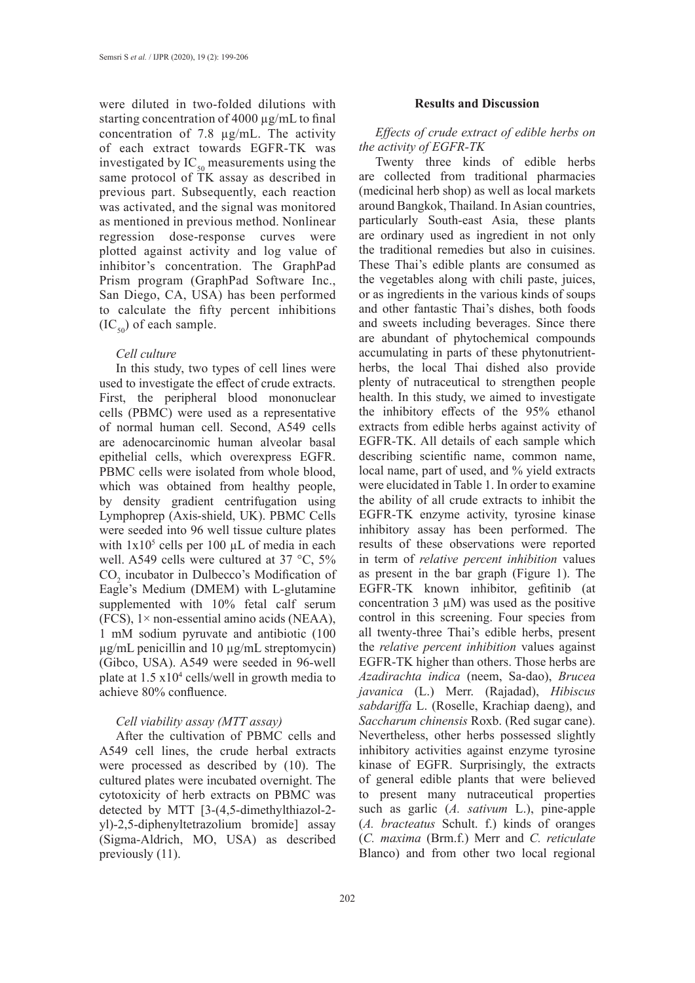were diluted in two-folded dilutions with starting concentration of 4000 µg/mL to final concentration of 7.8 µg/mL. The activity of each extract towards EGFR-TK was investigated by  $IC_{50}$  measurements using the same protocol of TK assay as described in previous part. Subsequently, each reaction was activated, and the signal was monitored as mentioned in previous method. Nonlinear regression dose-response curves were plotted against activity and log value of inhibitor's concentration. The GraphPad Prism program (GraphPad Software Inc., San Diego, CA, USA) has been performed to calculate the fifty percent inhibitions  $(IC_{50})$  of each sample.

### *Cell culture*

In this study, two types of cell lines were used to investigate the effect of crude extracts. First, the peripheral blood mononuclear cells (PBMC) were used as a representative of normal human cell. Second, A549 cells are adenocarcinomic human alveolar basal epithelial cells, which overexpress EGFR. PBMC cells were isolated from whole blood, which was obtained from healthy people, by density gradient centrifugation using Lymphoprep (Axis-shield, UK). PBMC Cells were seeded into 96 well tissue culture plates with  $1x10<sup>5</sup>$  cells per 100  $\mu$ L of media in each well. A549 cells were cultured at 37 °C, 5%  $CO<sub>2</sub>$  incubator in Dulbecco's Modification of Eagle's Medium (DMEM) with L-glutamine supplemented with 10% fetal calf serum  $(FCS)$ ,  $1 \times$  non-essential amino acids (NEAA), 1 mM sodium pyruvate and antibiotic (100 µg/mL penicillin and 10 µg/mL streptomycin) (Gibco, USA). A549 were seeded in 96-well plate at  $1.5 \times 10^4$  cells/well in growth media to achieve 80% confluence.

## *Cell viability assay (MTT assay)*

After the cultivation of PBMC cells and A549 cell lines, the crude herbal extracts were processed as described by (10). The cultured plates were incubated overnight. The cytotoxicity of herb extracts on PBMC was detected by MTT [3-(4,5-dimethylthiazol-2 yl)-2,5-diphenyltetrazolium bromide] assay (Sigma-Aldrich, MO, USA) as described previously (11).

#### **Results and Discussion**

# *Effects of crude extract of edible herbs on the activity of EGFR-TK*

Twenty three kinds of edible herbs are collected from traditional pharmacies (medicinal herb shop) as well as local markets around Bangkok, Thailand. In Asian countries, particularly South-east Asia, these plants are ordinary used as ingredient in not only the traditional remedies but also in cuisines. These Thai's edible plants are consumed as the vegetables along with chili paste, juices, or as ingredients in the various kinds of soups and other fantastic Thai's dishes, both foods and sweets including beverages. Since there are abundant of phytochemical compounds accumulating in parts of these phytonutrientherbs, the local Thai dished also provide plenty of nutraceutical to strengthen people health. In this study, we aimed to investigate the inhibitory effects of the 95% ethanol extracts from edible herbs against activity of EGFR-TK. All details of each sample which describing scientific name, common name, local name, part of used, and % yield extracts were elucidated in Table 1. In order to examine the ability of all crude extracts to inhibit the EGFR-TK enzyme activity, tyrosine kinase inhibitory assay has been performed. The results of these observations were reported in term of *relative percent inhibition* values as present in the bar graph (Figure 1). The EGFR-TK known inhibitor, gefitinib (at concentration  $3 \mu M$ ) was used as the positive control in this screening. Four species from all twenty-three Thai's edible herbs, present the *relative percent inhibition* values against EGFR-TK higher than others. Those herbs are *Azadirachta indica* (neem, Sa-dao), *Brucea javanica* (L.) Merr. (Rajadad), *Hibiscus sabdariffa* L. (Roselle, Krachiap daeng), and *Saccharum chinensis* Roxb. (Red sugar cane). Nevertheless, other herbs possessed slightly inhibitory activities against enzyme tyrosine kinase of EGFR. Surprisingly, the extracts of general edible plants that were believed to present many nutraceutical properties such as garlic (*A. sativum* L.), pine-apple (*A. bracteatus* Schult. f.) kinds of oranges (*C. maxima* (Brm.f.) Merr and *C. reticulate* Blanco) and from other two local regional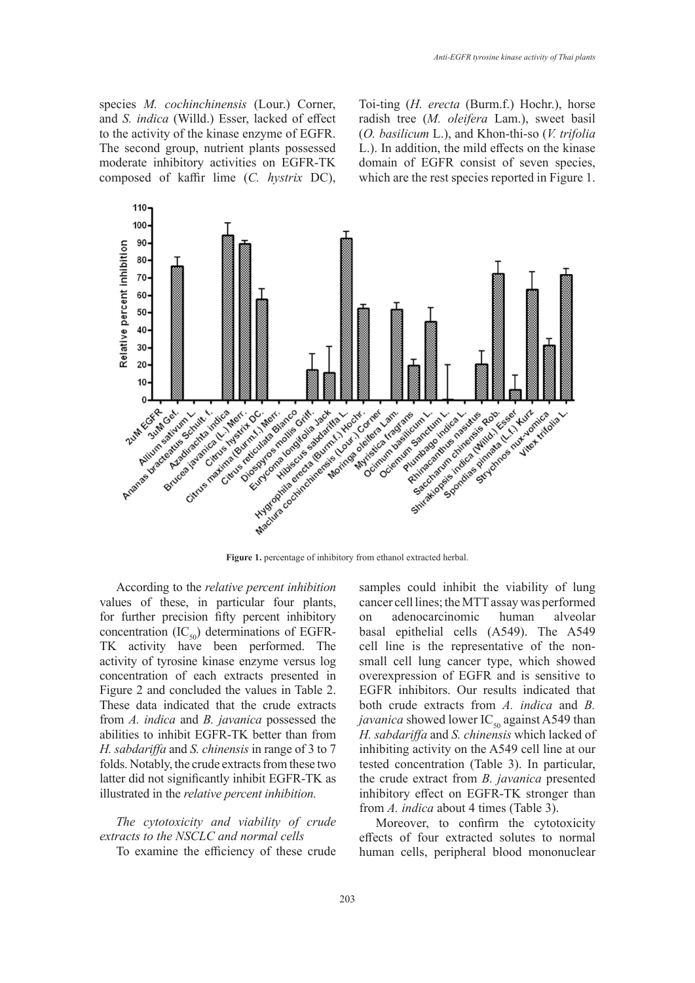species *M. cochinchinensis* (Lour.) Corner, and *S. indica* (Willd.) Esser, lacked of effect to the activity of the kinase enzyme of EGFR. The second group, nutrient plants possessed moderate inhibitory activities on EGFR-TK composed of kaffir lime (*C. hystrix* DC), Toi-ting (*H. erecta* (Burm.f.) Hochr.), horse radish tree (*M. oleifera* Lam.), sweet basil (*O. basilicum* L.), and Khon-thi-so (*V. trifolia* L.). In addition, the mild effects on the kinase domain of EGFR consist of seven species, which are the rest species reported in Figure 1.



According to the *relative percent inhibition*  values of these, in particular four plants, for further precision fifty percent inhibitory concentration  $(IC_{50})$  determinations of EGFR-TK activity have been performed. The activity of tyrosine kinase enzyme versus log concentration of each extracts presented in Figure 2 and concluded the values in Table 2. These data indicated that the crude extracts from *A. indica* and *B. javanica* possessed the abilities to inhibit EGFR-TK better than from *H. sabdariffa* and *S. chinensis* in range of 3 to 7 folds. Notably, the crude extracts from these two latter did not significantly inhibit EGFR-TK as illustrated in the *relative percent inhibition.*

*The cytotoxicity and viability of crude extracts to the NSCLC and normal cells* 

To examine the efficiency of these crude

samples could inhibit the viability of lung cancer cell lines; the MTT assay was performed on adenocarcinomic human alveolar [basal](http://en.wikipedia.org/wiki/Basal_lamina) epithelial cells (A549). The A549 cell line is the representative of the nonsmall cell lung cancer type, which showed overexpression of EGFR and is sensitive to EGFR inhibitors. Our results indicated that both crude extracts from *A. indica* and *B. javanica* showed lower IC<sub>50</sub> against A549 than *H. sabdariffa* and *S. chinensis* which lacked of inhibiting activity on the A549 cell line at our tested concentration (Table 3). In particular, the crude extract from *B. javanica* presented inhibitory effect on EGFR-TK stronger than from *A. indica* about 4 times (Table 3).

Moreover, to confirm the cytotoxicity effects of four extracted solutes to normal human cells, peripheral blood mononuclear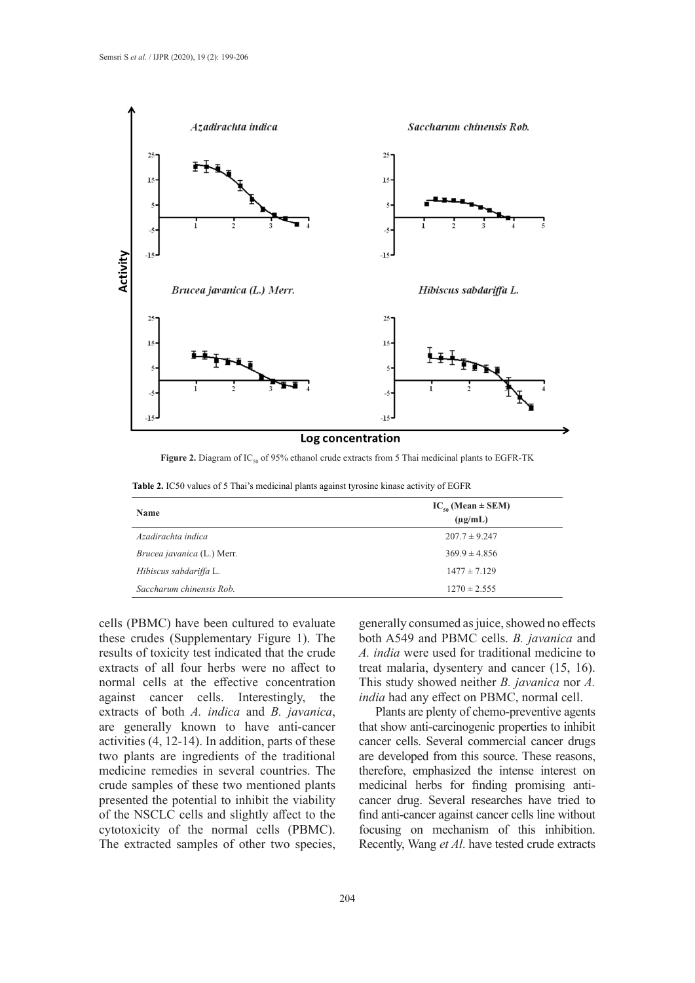

Figure 2. Diagram of IC<sub>50</sub> of 95% ethanol crude extracts from 5 Thai medicinal plants to EGFR-TK

|  |  | <b>Table 2.</b> IC50 values of 5 Thai's medicinal plants against tyrosine kinase activity of EGFR |  |  |  |
|--|--|---------------------------------------------------------------------------------------------------|--|--|--|
|  |  |                                                                                                   |  |  |  |

| Name                       | $IC_{so}$ (Mean $\pm$ SEM) |  |  |  |  |
|----------------------------|----------------------------|--|--|--|--|
|                            | $(\mu g/mL)$               |  |  |  |  |
| Azadirachta indica         | $207.7 \pm 9.247$          |  |  |  |  |
| Brucea javanica (L.) Merr. | $369.9 \pm 4.856$          |  |  |  |  |
| Hibiscus sabdariffa L.     | $1477 \pm 7.129$           |  |  |  |  |
| Saccharum chinensis Rob.   | $1270 \pm 2.555$           |  |  |  |  |

cells (PBMC) have been cultured to evaluate these crudes (Supplementary Figure 1). The results of toxicity test indicated that the crude extracts of all four herbs were no affect to normal cells at the effective concentration against cancer cells. Interestingly, the extracts of both *A. indica* and *B. javanica*, are generally known to have anti-cancer activities (4, 12-14). In addition, parts of these two plants are ingredients of the traditional medicine remedies in several countries. The crude samples of these two mentioned plants presented the potential to inhibit the viability of the NSCLC cells and slightly affect to the cytotoxicity of the normal cells (PBMC). The extracted samples of other two species,

generally consumed as juice, showed no effects both A549 and PBMC cells. *B. javanica* and *A. india* were used for traditional medicine to treat malaria, dysentery and cancer (15, 16). This study showed neither *B. javanica* nor *A. india* had any effect on PBMC, normal cell.

Plants are plenty of chemo-preventive agents that show anti-carcinogenic properties to inhibit cancer cells. Several commercial cancer drugs are developed from this source. These reasons, therefore, emphasized the intense interest on medicinal herbs for finding promising anticancer drug. Several researches have tried to find anti-cancer against cancer cells line without focusing on mechanism of this inhibition. Recently, Wang *et Al*. have tested crude extracts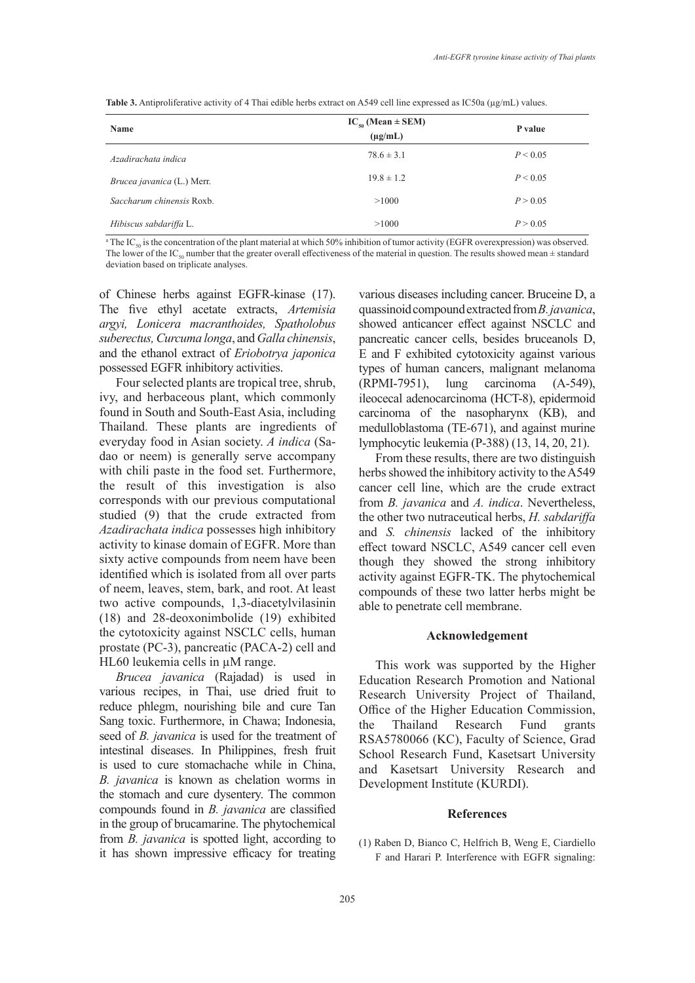| Name                       | $IC_{50}$ (Mean $\pm$ SEM)<br>$(\mu g/mL)$ | P value  |
|----------------------------|--------------------------------------------|----------|
| Azadirachata indica        | $78.6 \pm 3.1$                             | P < 0.05 |
| Brucea javanica (L.) Merr. | $19.8 \pm 1.2$                             | P < 0.05 |
| Saccharum chinensis Roxb.  | >1000                                      | P > 0.05 |
| Hibiscus sabdariffa L.     | >1000                                      | P > 0.05 |

**Table 3.** Antiproliferative activity of 4 Thai edible herbs extract on A549 cell line expressed as IC50a (µg/mL) values.

<sup>a</sup> The IC<sub>50</sub> is the concentration of the plant material at which 50% inhibition of tumor activity (EGFR overexpression) was observed. The lower of the IC<sub>50</sub> number that the greater overall effectiveness of the material in question. The results showed mean  $\pm$  standard

deviation based on triplicate analyses.

of Chinese herbs against EGFR-kinase (17). The five ethyl acetate extracts, *Artemisia argyi, Lonicera macranthoides, Spatholobus suberectus, Curcuma longa*, and *Galla chinensis*, and the ethanol extract of *Eriobotrya japonica* possessed EGFR inhibitory activities.

Four selected plants are tropical tree, shrub, ivy, and herbaceous plant, which commonly found in South and South-East Asia, including Thailand. These plants are ingredients of everyday food in Asian society. *A indica* (Sadao or neem) is generally serve accompany with chili paste in the food set. Furthermore, the result of this investigation is also corresponds with our previous computational studied (9) that the crude extracted from *Azadirachata indica* possesses high inhibitory activity to kinase domain of EGFR. More than sixty active compounds from neem have been identified which is isolated from all over parts of neem, leaves, stem, bark, and root. At least two active compounds, 1,3-diacetylvilasinin (18) and 28-deoxonimbolide (19) exhibited the cytotoxicity against NSCLC cells, human prostate (PC-3), pancreatic (PACA-2) cell and HL60 leukemia cells in µM range.

*Brucea javanica* (Rajadad) is used in various recipes, in Thai, use dried fruit to reduce phlegm, nourishing bile and cure Tan Sang toxic. Furthermore, in Chawa; Indonesia, seed of *B. javanica* is used for the treatment of intestinal diseases. In Philippines, fresh fruit is used to cure stomachache while in China, *B. javanica* is known as chelation worms in the stomach and cure dysentery. The common compounds found in *B. javanica* are classified in the group of brucamarine. The phytochemical from *B. javanica* is spotted light, according to it has shown impressive efficacy for treating

various diseases including cancer. Bruceine D, a quassinoid compound extracted from *B. javanica*, showed anticancer effect against NSCLC and pancreatic cancer cells, besides bruceanols D, E and F exhibited cytotoxicity against various types of human cancers, malignant melanoma (RPMI-7951), lung carcinoma (A-549), ileocecal adenocarcinoma (HCT-8), epidermoid carcinoma of the nasopharynx (KB), and medulloblastoma (TE-671), and against murine lymphocytic leukemia (P-388) (13, 14, 20, 21).

From these results, there are two distinguish herbs showed the inhibitory activity to the A549 cancer cell line, which are the crude extract from *B. javanica* and *A. indica*. Nevertheless, the other two nutraceutical herbs, *H. sabdariffa* and *S. chinensis* lacked of the inhibitory effect toward NSCLC, A549 cancer cell even though they showed the strong inhibitory activity against EGFR-TK. The phytochemical compounds of these two latter herbs might be able to penetrate cell membrane.

## **Acknowledgement**

This work was supported by the Higher Education Research Promotion and National Research University Project of Thailand, Office of the Higher Education Commission, the Thailand Research Fund grants RSA5780066 (KC), Faculty of Science, Grad School Research Fund, Kasetsart University and Kasetsart University Research and Development Institute (KURDI).

## **References**

(1) Raben D, Bianco C, Helfrich B, Weng E, Ciardiello F and Harari P. Interference with EGFR signaling: